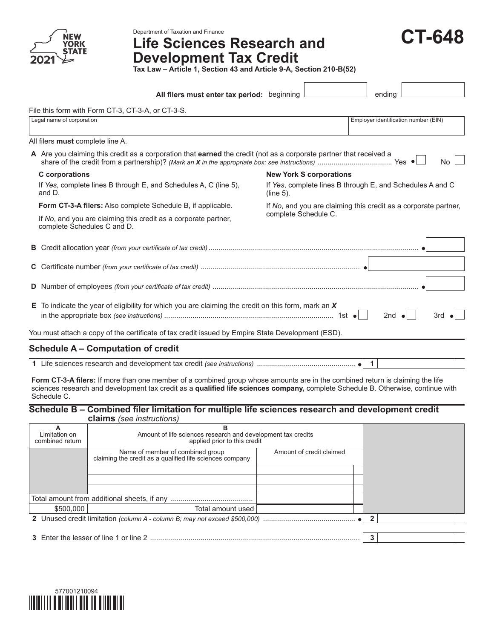

# Department of Taxation and Finance<br>Life Sciences Research and **Development Tax Credit**

| <b>CT-648</b> |  |
|---------------|--|
|               |  |

**Tax Law – Article 1, Section 43 and Article 9-A, Section 210-B(52)**

|                                                                                                                                 | All filers must enter tax period: beginning                                                                                   |                      |                                |                                                                 | ending                               |  |  |  |  |
|---------------------------------------------------------------------------------------------------------------------------------|-------------------------------------------------------------------------------------------------------------------------------|----------------------|--------------------------------|-----------------------------------------------------------------|--------------------------------------|--|--|--|--|
|                                                                                                                                 | File this form with Form CT-3, CT-3-A, or CT-3-S.                                                                             |                      |                                |                                                                 |                                      |  |  |  |  |
|                                                                                                                                 | Legal name of corporation                                                                                                     |                      |                                |                                                                 | Employer identification number (EIN) |  |  |  |  |
|                                                                                                                                 | All filers must complete line A.                                                                                              |                      |                                |                                                                 |                                      |  |  |  |  |
| A Are you claiming this credit as a corporation that earned the credit (not as a corporate partner that received a<br><b>No</b> |                                                                                                                               |                      |                                |                                                                 |                                      |  |  |  |  |
|                                                                                                                                 | C corporations                                                                                                                |                      | <b>New York S corporations</b> |                                                                 |                                      |  |  |  |  |
|                                                                                                                                 | If Yes, complete lines B through E, and Schedules A, C (line 5),<br>and D.                                                    | $(line 5)$ .         |                                | If Yes, complete lines B through E, and Schedules A and C       |                                      |  |  |  |  |
|                                                                                                                                 | <b>Form CT-3-A filers:</b> Also complete Schedule B, if applicable.                                                           |                      |                                | If No, and you are claiming this credit as a corporate partner, |                                      |  |  |  |  |
|                                                                                                                                 | If No, and you are claiming this credit as a corporate partner,<br>complete Schedules C and D.                                | complete Schedule C. |                                |                                                                 |                                      |  |  |  |  |
|                                                                                                                                 |                                                                                                                               |                      |                                |                                                                 |                                      |  |  |  |  |
|                                                                                                                                 |                                                                                                                               |                      |                                |                                                                 |                                      |  |  |  |  |
|                                                                                                                                 |                                                                                                                               |                      |                                |                                                                 |                                      |  |  |  |  |
|                                                                                                                                 | E To indicate the year of eligibility for which you are claiming the credit on this form, mark an $X$<br>2nd $\bullet$<br>3rd |                      |                                |                                                                 |                                      |  |  |  |  |
| You must attach a copy of the certificate of tax credit issued by Empire State Development (ESD).                               |                                                                                                                               |                      |                                |                                                                 |                                      |  |  |  |  |
|                                                                                                                                 | Schedule $\Delta$ – Computation of credit                                                                                     |                      |                                |                                                                 |                                      |  |  |  |  |

#### on or crea**n**

**1** Life sciences research and development tax credit *(see instructions)* ................................................. **1**

**Form CT-3-A filers:** If more than one member of a combined group whose amounts are in the combined return is claiming the life sciences research and development tax credit as a **qualified life sciences company,** complete Schedule B. Otherwise, continue with Schedule C.

#### **Schedule B – Combined filer limitation for multiple life sciences research and development credit claims** *(see instructions)*

| Limitation on<br>combined return | Amount of life sciences research and development tax credits<br>applied prior to this credit |                          |  |  |  |
|----------------------------------|----------------------------------------------------------------------------------------------|--------------------------|--|--|--|
|                                  | Name of member of combined group<br>claiming the credit as a qualified life sciences company | Amount of credit claimed |  |  |  |
|                                  |                                                                                              |                          |  |  |  |
|                                  |                                                                                              |                          |  |  |  |
| \$500,000                        | Total amount used                                                                            |                          |  |  |  |
|                                  |                                                                                              |                          |  |  |  |
|                                  |                                                                                              |                          |  |  |  |
|                                  |                                                                                              |                          |  |  |  |